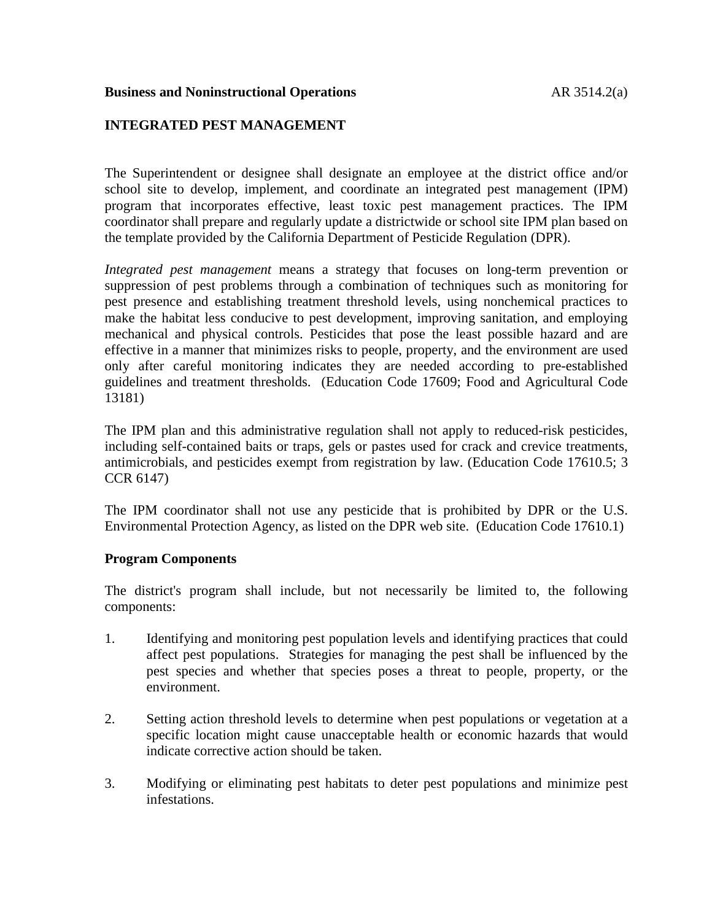## **Business and Noninstructional Operations** AR 3514.2(a)

## **INTEGRATED PEST MANAGEMENT**

The Superintendent or designee shall designate an employee at the district office and/or school site to develop, implement, and coordinate an integrated pest management (IPM) program that incorporates effective, least toxic pest management practices. The IPM coordinator shall prepare and regularly update a districtwide or school site IPM plan based on the template provided by the California Department of Pesticide Regulation (DPR).

*Integrated pest management* means a strategy that focuses on long-term prevention or suppression of pest problems through a combination of techniques such as monitoring for pest presence and establishing treatment threshold levels, using nonchemical practices to make the habitat less conducive to pest development, improving sanitation, and employing mechanical and physical controls. Pesticides that pose the least possible hazard and are effective in a manner that minimizes risks to people, property, and the environment are used only after careful monitoring indicates they are needed according to pre-established guidelines and treatment thresholds. (Education Code 17609; Food and Agricultural Code 13181)

The IPM plan and this administrative regulation shall not apply to reduced-risk pesticides, including self-contained baits or traps, gels or pastes used for crack and crevice treatments, antimicrobials, and pesticides exempt from registration by law. (Education Code 17610.5; 3 CCR 6147)

The IPM coordinator shall not use any pesticide that is prohibited by DPR or the U.S. Environmental Protection Agency, as listed on the DPR web site. (Education Code 17610.1)

### **Program Components**

The district's program shall include, but not necessarily be limited to, the following components:

- 1. Identifying and monitoring pest population levels and identifying practices that could affect pest populations. Strategies for managing the pest shall be influenced by the pest species and whether that species poses a threat to people, property, or the environment.
- 2. Setting action threshold levels to determine when pest populations or vegetation at a specific location might cause unacceptable health or economic hazards that would indicate corrective action should be taken.
- 3. Modifying or eliminating pest habitats to deter pest populations and minimize pest infestations.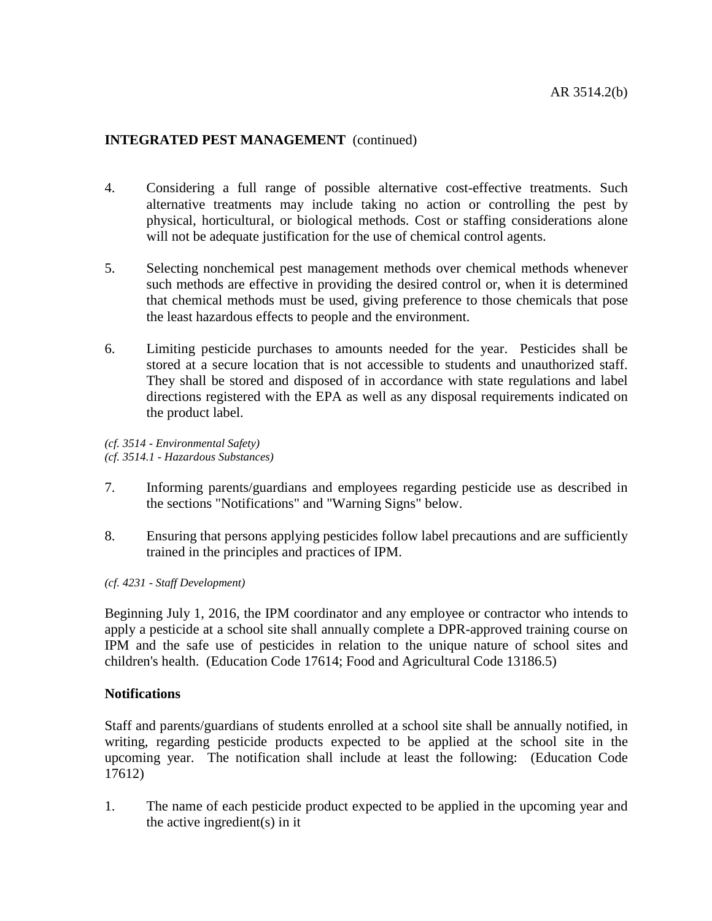- 4. Considering a full range of possible alternative cost-effective treatments. Such alternative treatments may include taking no action or controlling the pest by physical, horticultural, or biological methods. Cost or staffing considerations alone will not be adequate justification for the use of chemical control agents.
- 5. Selecting nonchemical pest management methods over chemical methods whenever such methods are effective in providing the desired control or, when it is determined that chemical methods must be used, giving preference to those chemicals that pose the least hazardous effects to people and the environment.
- 6. Limiting pesticide purchases to amounts needed for the year. Pesticides shall be stored at a secure location that is not accessible to students and unauthorized staff. They shall be stored and disposed of in accordance with state regulations and label directions registered with the EPA as well as any disposal requirements indicated on the product label.

*(cf. 3514 - Environmental Safety) (cf. 3514.1 - Hazardous Substances)*

- 7. Informing parents/guardians and employees regarding pesticide use as described in the sections "Notifications" and "Warning Signs" below.
- 8. Ensuring that persons applying pesticides follow label precautions and are sufficiently trained in the principles and practices of IPM.

*(cf. 4231 - Staff Development)*

Beginning July 1, 2016, the IPM coordinator and any employee or contractor who intends to apply a pesticide at a school site shall annually complete a DPR-approved training course on IPM and the safe use of pesticides in relation to the unique nature of school sites and children's health. (Education Code 17614; Food and Agricultural Code 13186.5)

### **Notifications**

Staff and parents/guardians of students enrolled at a school site shall be annually notified, in writing, regarding pesticide products expected to be applied at the school site in the upcoming year. The notification shall include at least the following: (Education Code 17612)

1. The name of each pesticide product expected to be applied in the upcoming year and the active ingredient(s) in it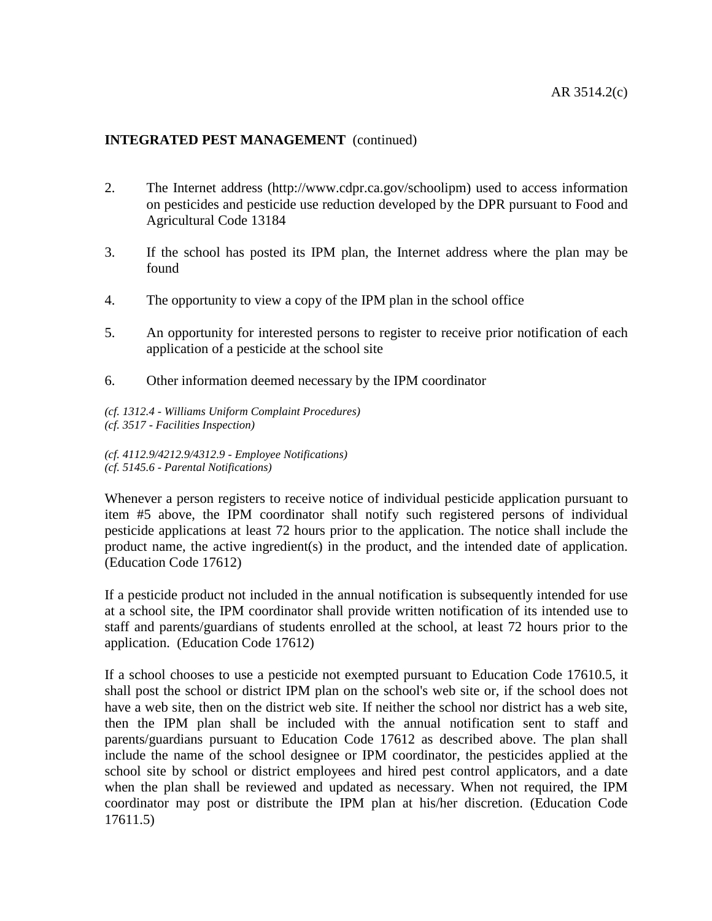- 2. The Internet address (http://www.cdpr.ca.gov/schoolipm) used to access information on pesticides and pesticide use reduction developed by the DPR pursuant to Food and Agricultural Code 13184
- 3. If the school has posted its IPM plan, the Internet address where the plan may be found
- 4. The opportunity to view a copy of the IPM plan in the school office
- 5. An opportunity for interested persons to register to receive prior notification of each application of a pesticide at the school site
- 6. Other information deemed necessary by the IPM coordinator

*(cf. 1312.4 - Williams Uniform Complaint Procedures) (cf. 3517 - Facilities Inspection)*

*(cf. 4112.9/4212.9/4312.9 - Employee Notifications) (cf. 5145.6 - Parental Notifications)*

Whenever a person registers to receive notice of individual pesticide application pursuant to item #5 above, the IPM coordinator shall notify such registered persons of individual pesticide applications at least 72 hours prior to the application. The notice shall include the product name, the active ingredient(s) in the product, and the intended date of application. (Education Code 17612)

If a pesticide product not included in the annual notification is subsequently intended for use at a school site, the IPM coordinator shall provide written notification of its intended use to staff and parents/guardians of students enrolled at the school, at least 72 hours prior to the application. (Education Code 17612)

If a school chooses to use a pesticide not exempted pursuant to Education Code 17610.5, it shall post the school or district IPM plan on the school's web site or, if the school does not have a web site, then on the district web site. If neither the school nor district has a web site, then the IPM plan shall be included with the annual notification sent to staff and parents/guardians pursuant to Education Code 17612 as described above. The plan shall include the name of the school designee or IPM coordinator, the pesticides applied at the school site by school or district employees and hired pest control applicators, and a date when the plan shall be reviewed and updated as necessary. When not required, the IPM coordinator may post or distribute the IPM plan at his/her discretion. (Education Code 17611.5)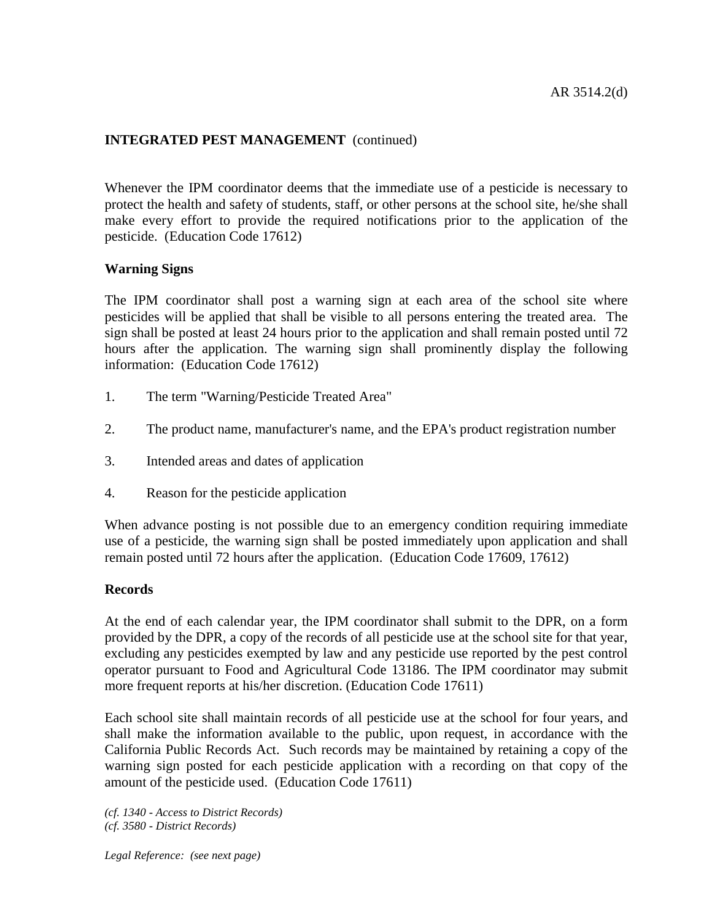Whenever the IPM coordinator deems that the immediate use of a pesticide is necessary to protect the health and safety of students, staff, or other persons at the school site, he/she shall make every effort to provide the required notifications prior to the application of the pesticide. (Education Code 17612)

## **Warning Signs**

The IPM coordinator shall post a warning sign at each area of the school site where pesticides will be applied that shall be visible to all persons entering the treated area. The sign shall be posted at least 24 hours prior to the application and shall remain posted until 72 hours after the application. The warning sign shall prominently display the following information: (Education Code 17612)

- 1. The term "Warning/Pesticide Treated Area"
- 2. The product name, manufacturer's name, and the EPA's product registration number
- 3. Intended areas and dates of application
- 4. Reason for the pesticide application

When advance posting is not possible due to an emergency condition requiring immediate use of a pesticide, the warning sign shall be posted immediately upon application and shall remain posted until 72 hours after the application. (Education Code 17609, 17612)

### **Records**

At the end of each calendar year, the IPM coordinator shall submit to the DPR, on a form provided by the DPR, a copy of the records of all pesticide use at the school site for that year, excluding any pesticides exempted by law and any pesticide use reported by the pest control operator pursuant to Food and Agricultural Code 13186. The IPM coordinator may submit more frequent reports at his/her discretion. (Education Code 17611)

Each school site shall maintain records of all pesticide use at the school for four years, and shall make the information available to the public, upon request, in accordance with the California Public Records Act. Such records may be maintained by retaining a copy of the warning sign posted for each pesticide application with a recording on that copy of the amount of the pesticide used. (Education Code 17611)

*(cf. 1340 - Access to District Records) (cf. 3580 - District Records)*

*Legal Reference: (see next page)*